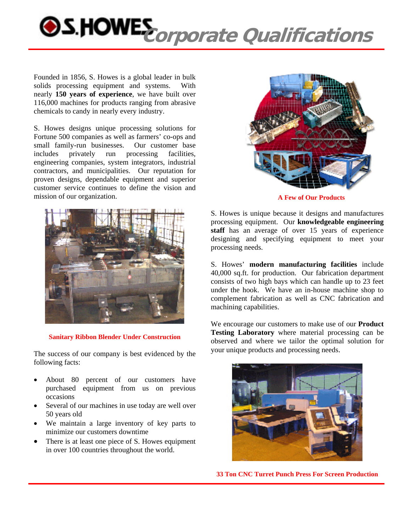

Founded in 1856, S. Howes is a global leader in bulk solids processing equipment and systems. With nearly **150 years of experience**, we have built over 116,000 machines for products ranging from abrasive chemicals to candy in nearly every industry.

S. Howes designs unique processing solutions for Fortune 500 companies as well as farmers' co-ops and small family-run businesses. Our customer base includes privately run processing facilities, engineering companies, system integrators, industrial contractors, and municipalities. Our reputation for proven designs, dependable equipment and superior customer service continues to define the vision and mission of our organization.



**Sanitary Ribbon Blender Under Construction** 

The success of our company is best evidenced by the following facts:

- About 80 percent of our customers have purchased equipment from us on previous occasions
- Several of our machines in use today are well over 50 years old
- We maintain a large inventory of key parts to minimize our customers downtime
- There is at least one piece of S. Howes equipment in over 100 countries throughout the world.



**A Few of Our Products** 

S. Howes is unique because it designs and manufactures processing equipment. Our **knowledgeable engineering staff** has an average of over 15 years of experience designing and specifying equipment to meet your processing needs.

S. Howes' **modern manufacturing facilities** include 40,000 sq.ft. for production. Our fabrication department consists of two high bays which can handle up to 23 feet under the hook. We have an in-house machine shop to complement fabrication as well as CNC fabrication and machining capabilities.

We encourage our customers to make use of our **Product Testing Laboratory** where material processing can be observed and where we tailor the optimal solution for your unique products and processing needs.



**33 Ton CNC Turret Punch Press For Screen Production**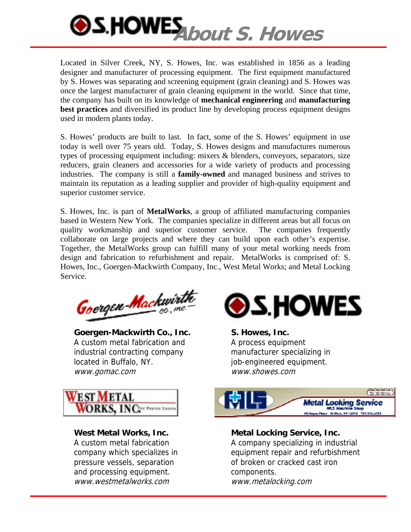

Located in Silver Creek, NY, S. Howes, Inc. was established in 1856 as a leading designer and manufacturer of processing equipment. The first equipment manufactured by S. Howes was separating and screening equipment (grain cleaning) and S. Howes was once the largest manufacturer of grain cleaning equipment in the world. Since that time, the company has built on its knowledge of **mechanical engineering** and **manufacturing best practices** and diversified its product line by developing process equipment designs used in modern plants today.

S. Howes' products are built to last. In fact, some of the S. Howes' equipment in use today is well over 75 years old. Today, S. Howes designs and manufactures numerous types of processing equipment including: mixers & blenders, conveyors, separators, size reducers, grain cleaners and accessories for a wide variety of products and processing industries. The company is still a **family-owned** and managed business and strives to maintain its reputation as a leading supplier and provider of high-quality equipment and superior customer service.

S. Howes, Inc. is part of **MetalWorks**, a group of affiliated manufacturing companies based in Western New York. The companies specialize in different areas but all focus on quality workmanship and superior customer service. The companies frequently collaborate on large projects and where they can build upon each other's expertise. Together, the MetalWorks group can fulfill many of your metal working needs from design and fabrication to refurbishment and repair. MetalWorks is comprised of: S. Howes, Inc., Goergen-Mackwirth Company, Inc., West Metal Works; and Metal Locking Service.

Goergen-Mackwirth

**Goergen-Mackwirth Co., Inc.**  A custom metal fabrication and industrial contracting company located in Buffalo, NY. www.gomac.com



**West Metal Works, Inc.**  A custom metal fabrication company which specializes in pressure vessels, separation and processing equipment. www.westmetalworks.com



**S. Howes, Inc.**  A process equipment manufacturer specializing in job-engineered equipment. www.showes.com



**Metal Locking Service, Inc.**  A company specializing in industrial equipment repair and refurbishment of broken or cracked cast iron components. www.metalocking.com